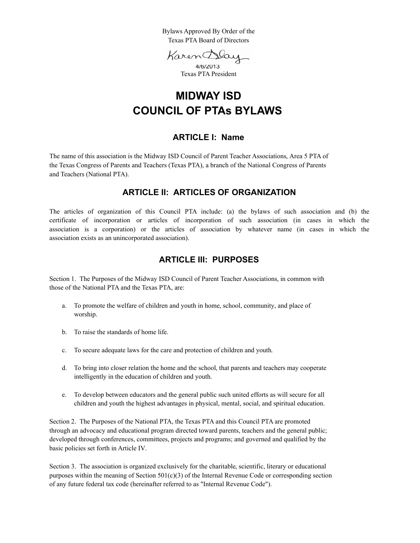Bylaws Approved By Order of the Texas PTA Board of Directors

Karen Day

4/6/2013 Texas PTA President

# **MIDWAY ISD COUNCIL OF PTAs BYLAWS**

### **ARTICLE I: Name**

The name of this association is the Midway ISD Council of Parent Teacher Associations, Area 5 PTA of the Texas Congress of Parents and Teachers (Texas PTA), a branch of the National Congress of Parents and Teachers (National PTA).

### **ARTICLE II: ARTICLES OF ORGANIZATION**

The articles of organization of this Council PTA include: (a) the bylaws of such association and (b) the certificate of incorporation or articles of incorporation of such association (in cases in which the association is a corporation) or the articles of association by whatever name (in cases in which the association exists as an unincorporated association).

### **ARTICLE III: PURPOSES**

Section 1.The Purposes of the Midway ISD Council of Parent Teacher Associations, in common with those of the National PTA and the Texas PTA, are:

- a. To promote the welfare of children and youth in home, school, community, and place of worship.
- b. To raise the standards of home life.
- c. To secure adequate laws for the care and protection of children and youth.
- d. To bring into closer relation the home and the school, that parents and teachers may cooperate intelligently in the education of children and youth.
- e. To develop between educators and the general public such united efforts as will secure for all children and youth the highest advantages in physical, mental, social, and spiritual education.

Section 2.The Purposes of the National PTA, the Texas PTA and this Council PTA are promoted through an advocacy and educational program directed toward parents, teachers and the general public; developed through conferences, committees, projects and programs; and governed and qualified by the basic policies set forth in Article IV.

Section 3. The association is organized exclusively for the charitable, scientific, literary or educational purposes within the meaning of Section  $501(c)(3)$  of the Internal Revenue Code or corresponding section of any future federal tax code (hereinafter referred to as "Internal Revenue Code").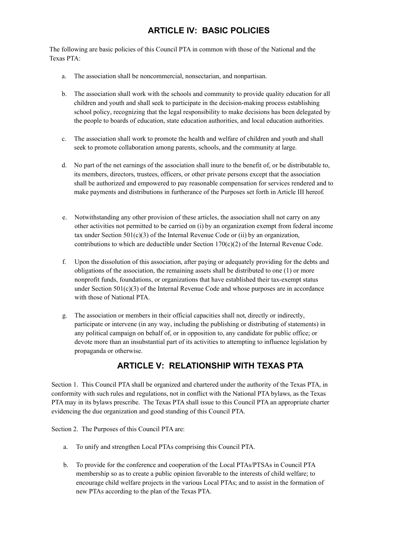## **ARTICLE IV: BASIC POLICIES**

The following are basic policies of this Council PTA in common with those of the National and the Texas PTA:

- a. The association shall be noncommercial, nonsectarian, and nonpartisan.
- b. The association shall work with the schools and community to provide quality education for all children and youth and shall seek to participate in the decision-making process establishing school policy, recognizing that the legal responsibility to make decisions has been delegated by the people to boards of education, state education authorities, and local education authorities.
- c. The association shall work to promote the health and welfare of children and youth and shall seek to promote collaboration among parents, schools, and the community at large.
- d. No part of the net earnings of the association shall inure to the benefit of, or be distributable to, its members, directors, trustees, officers, or other private persons except that the association shall be authorized and empowered to pay reasonable compensation for services rendered and to make payments and distributions in furtherance of the Purposes set forth in Article III hereof.
- e. Notwithstanding any other provision of these articles, the association shall not carry on any other activities not permitted to be carried on (i) by an organization exempt from federal income tax under Section  $501(c)(3)$  of the Internal Revenue Code or (ii) by an organization, contributions to which are deductible under Section  $170(c)(2)$  of the Internal Revenue Code.
- f. Upon the dissolution of this association, after paying or adequately providing for the debts and obligations of the association, the remaining assets shall be distributed to one (1) or more nonprofit funds, foundations, or organizations that have established their tax-exempt status under Section  $501(c)(3)$  of the Internal Revenue Code and whose purposes are in accordance with those of National PTA.
- g. The association or members in their official capacities shall not, directly or indirectly, participate or intervene (in any way, including the publishing or distributing of statements) in any political campaign on behalf of, or in opposition to, any candidate for public office; or devote more than an insubstantial part of its activities to attempting to influence legislation by propaganda or otherwise.

## **ARTICLE V: RELATIONSHIP WITH TEXAS PTA**

Section 1. This Council PTA shall be organized and chartered under the authority of the Texas PTA, in conformity with such rules and regulations, not in conflict with the National PTA bylaws, as the Texas PTA may in its bylaws prescribe. The Texas PTA shall issue to this Council PTA an appropriate charter evidencing the due organization and good standing of this Council PTA.

Section 2. The Purposes of this Council PTA are:

- a. To unify and strengthen Local PTAs comprising this Council PTA.
- b. To provide for the conference and cooperation of the Local PTAs/PTSAs in Council PTA membership so as to create a public opinion favorable to the interests of child welfare; to encourage child welfare projects in the various Local PTAs; and to assist in the formation of new PTAs according to the plan of the Texas PTA.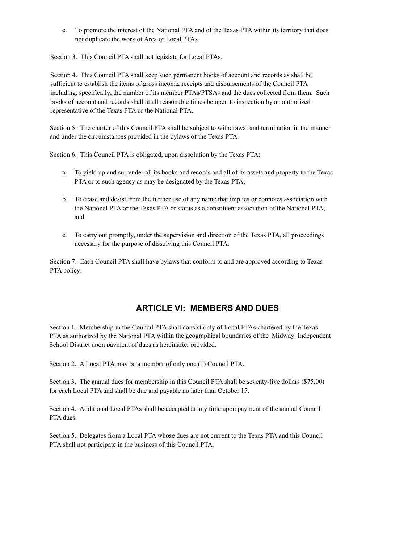c. To promote the interest of the National PTA and of the Texas PTA within its territory that does not duplicate the work of Area or Local PTAs.

Section 3. This Council PTA shall not legislate for Local PTAs.

Section 4.This Council PTA shall keep such permanent books of account and records as shall be sufficient to establish the items of gross income, receipts and disbursements of the Council PTA including, specifically, the number of its member PTAs/PTSAs and the dues collected from them. Such books of account and records shall at all reasonable times be open to inspection by an authorized representative of the Texas PTA or the National PTA.

Section 5.The charter of this Council PTA shall be subject to withdrawal and termination in the manner and under the circumstances provided in the bylaws of the Texas PTA.

Section 6.This Council PTA is obligated, upon dissolution by the Texas PTA:

- a. To yield up and surrender all its books and records and all of its assets and property to the Texas PTA or to such agency as may be designated by the Texas PTA;
- b. To cease and desist from the further use of any name that implies or connotes association with the National PTA or the Texas PTA or status as a constituent association of the National PTA; and
- c. To carry out promptly, under the supervision and direction of the Texas PTA, all proceedings necessary for the purpose of dissolving this Council PTA.

Section 7. Each Council PTA shall have bylaws that conform to and are approved according to Texas PTA policy.

## **ARTICLE VI: MEMBERS AND DUES**

Section 1.Membership in the Council PTA shall consist only of Local PTAs chartered by the Texas P TA as authorized by the National PTA within the geographical boundaries of the Midway Independent School District upon payment of dues as hereinafter provided.

Section 2.A Local PTA may be a member of only one (1) Council PTA.

Section 3. The annual dues for membership in this Council PTA shall be seventy-five dollars (\$75.00) for each Local PTA and shall be due and payable no later than October 15.

Section 4.Additional Local PTAs shall be accepted at any time upon payment of the annual Council PTA dues.

Section 5.Delegates from a Local PTA whose dues are not current to the Texas PTA and this Council PTA shall not participate in the business of this Council PTA.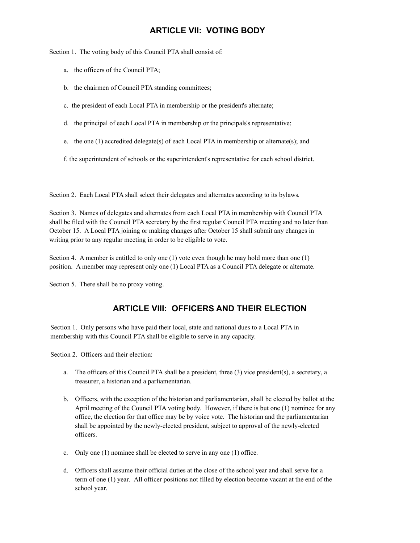## **ARTICLE VII: VOTING BODY**

Section 1. The voting body of this Council PTA shall consist of:

- a. the officers of the Council PTA;
- b. the chairmen of Council PTA standing committees;
- c. the president of each Local PTA in membership or the president's alternate;
- d. the principal of each Local PTA in membership or the principals's representative;
- e. the one (1) accredited delegate(s) of each Local PTA in membership or alternate(s); and

f. the superintendent of schools or the superintendent's representative for each school district.

Section 2.Each Local PTA shall select their delegates and alternates according to its bylaws.

Section 3.Names of delegates and alternates from each Local PTA in membership with Council PTA shall be filed with the Council PTA secretary by the first regular Council PTA meeting and no later than October 15. A Local PTA joining or making changes after October 15 shall submit any changes in writing prior to any regular meeting in order to be eligible to vote.

Section 4.A member is entitled to only one (1) vote even though he may hold more than one (1) position. A member may represent only one (1) Local PTA as a Council PTA delegate or alternate.

Section 5. There shall be no proxy voting.

### **ARTICLE VIII: OFFICERS AND THEIR ELECTION**

Section 1.Only persons who have paid their local, state and national dues to a Local PTA in membership with this Council PTA shall be eligible to serve in any capacity.

Section 2. Officers and their election:

- a. The officers of this Council PTA shall be a president, three (3) vice president(s), a secretary, a treasurer, a historian and a parliamentarian.
- b. Officers, with the exception of the historian and parliamentarian, shall be elected by ballot at the April meeting of the Council PTA voting body. However, if there is but one (1) nominee for any office, the election for that office may be by voice vote. The historian and the parliamentarian shall be appointed by the newly-elected president, subject to approval of the newly-elected officers.
- c. Only one (1) nominee shall be elected to serve in any one (1) office.
- d. Officers shall assume their official duties at the close of the school year and shall serve for a term of one (1) year. All officer positions not filled by election become vacant at the end of the school year.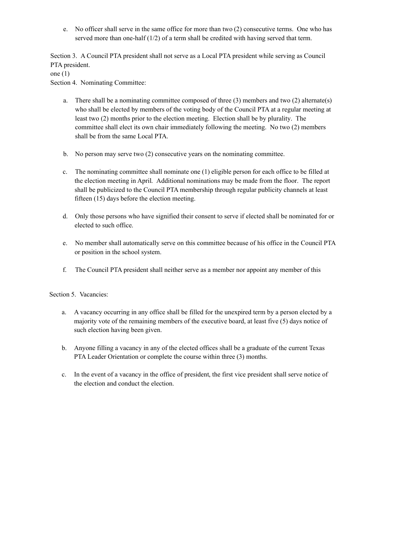e. No officer shall serve in the same office for more than two (2) consecutive terms. One who has served more than one-half (1/2) of a term shall be credited with having served that term.

Section 3. A Council PTA president shall not serve as a Local PTA president while serving as Council PTA president.

one (1)

Section 4. Nominating Committee:

- a. There shall be a nominating committee composed of three (3) members and two (2) alternate(s) who shall be elected by members of the voting body of the Council PTA at a regular meeting at least two (2) months prior to the election meeting. Election shall be by plurality. The committee shall elect its own chair immediately following the meeting. No two (2) members shall be from the same Local PTA.
- b. No person may serve two (2) consecutive years on the nominating committee.
- c. The nominating committee shall nominate one (1) eligible person for each office to be filled at the election meeting in April. Additional nominations may be made from the floor. The report shall be publicized to the Council PTA membership through regular publicity channels at least fifteen (15) days before the election meeting.
- d. Only those persons who have signified their consent to serve if elected shall be nominated for or elected to such office.
- e. No member shall automatically serve on this committee because of his office in the Council PTA or position in the school system.
- f. The Council PTA president shall neither serve as a member nor appoint any member of this

Section 5. Vacancies:

- a. A vacancy occurring in any office shall be filled for the unexpired term by a person elected by a majority vote of the remaining members of the executive board, at least five (5) days notice of such election having been given.
- b. Anyone filling a vacancy in any of the elected offices shall be a graduate of the current Texas PTA Leader Orientation or complete the course within three (3) months.
- c. In the event of a vacancy in the office of president, the first vice president shall serve notice of the election and conduct the election.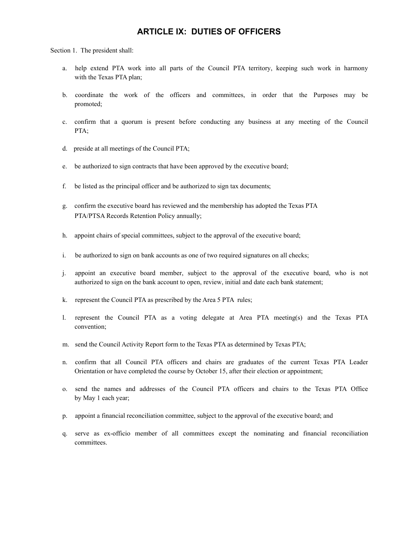### **ARTICLE IX: DUTIES OF OFFICERS**

Section 1. The president shall:

- a. help extend PTA work into all parts of the Council PTA territory, keeping such work in harmony with the Texas PTA plan;
- b. coordinate the work of the officers and committees, in order that the Purposes may be promoted;
- c. confirm that a quorum is present before conducting any business at any meeting of the Council PTA;
- d. preside at all meetings of the Council PTA;
- e. be authorized to sign contracts that have been approved by the executive board;
- f. be listed as the principal officer and be authorized to sign tax documents;
- g. confirm the executive board has reviewed and the membership has adopted the Texas PTA PTA/PTSA Records Retention Policy annually;
- h. appoint chairs of special committees, subject to the approval of the executive board;
- i. be authorized to sign on bank accounts as one of two required signatures on all checks;
- j. appoint an executive board member, subject to the approval of the executive board, who is not authorized to sign on the bank account to open, review, initial and date each bank statement;
- k. represent the Council PTA as prescribed by the Area 5 PTA rules;
- l. represent the Council PTA as a voting delegate at Area PTA meeting(s) and the Texas PTA convention;
- m. send the Council Activity Report form to the Texas PTA as determined by Texas PTA;
- n. confirm that all Council PTA officers and chairs are graduates of the current Texas PTA Leader Orientation or have completed the course by October 15, after their election or appointment;
- o. send the names and addresses of the Council PTA officers and chairs to the Texas PTA Office by May 1 each year;
- p. appoint a financial reconciliation committee, subject to the approval of the executive board; and
- q. serve as ex-officio member of all committees except the nominating and financial reconciliation committees.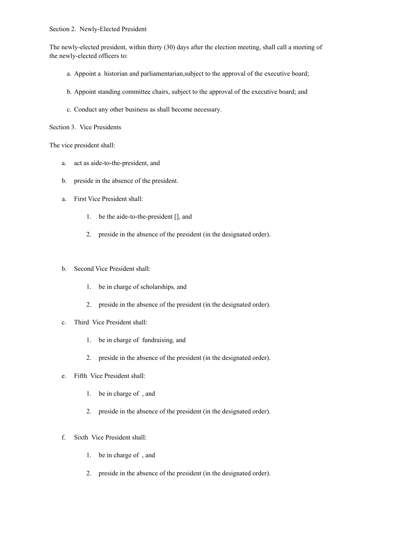#### Section 2. Newly-Elected President

The newly-elected president, within thirty (30) days after the election meeting, shall call a meeting of the newly-elected officers to:

- a. Appoint a historian and parliamentarian,subject to the approval of the executive board;
- b. Appoint standing committee chairs, subject to the approval of the executive board; and
- c. Conduct any other business as shall become necessary.

Section 3. Vice Presidents

The vice president shall:

- a. act as aide-to-the-president, and
- b. preside in the absence of the president.
- a. First Vice President shall:
	- 1. be the aide-to-the-president [], and
	- 2. preside in the absence of the president (in the designated order).
- b. Second Vice President shall:
	- 1. be in charge of scholarships*,* and
	- 2. preside in the absence of the president (in the designated order).
- c. Third Vice President shall:
	- 1. be in charge of fundraising*,* and
	- 2. preside in the absence of the president (in the designated order).
- e. Fifth Vice President shall:
	- 1. be in charge of , and
	- 2. preside in the absence of the president (in the designated order).

#### f. Sixth Vice President shall:

- 1. be in charge of , and
- 2. preside in the absence of the president (in the designated order).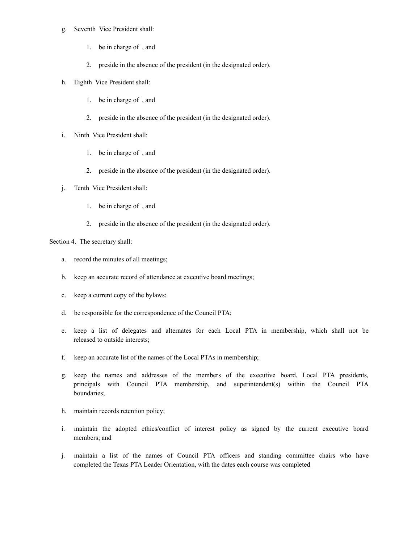#### g. Seventh Vice President shall:

- 1. be in charge of , and
- 2. preside in the absence of the president (in the designated order).
- h. Eighth Vice President shall:
	- 1. be in charge of , and
	- 2. preside in the absence of the president (in the designated order).
- i. Ninth Vice President shall:
	- 1. be in charge of , and
	- 2. preside in the absence of the president (in the designated order).
- j. Tenth Vice President shall:
	- 1. be in charge of , and
	- 2. preside in the absence of the president (in the designated order).

Section 4. The secretary shall:

- a. record the minutes of all meetings;
- b. keep an accurate record of attendance at executive board meetings;
- c. keep a current copy of the bylaws;
- d. be responsible for the correspondence of the Council PTA;
- e. keep a list of delegates and alternates for each Local PTA in membership, which shall not be released to outside interests;
- f. keep an accurate list of the names of the Local PTAs in membership;
- g. keep the names and addresses of the members of the executive board, Local PTA presidents, principals with Council PTA membership, and superintendent(s) within the Council PTA boundaries;
- h. maintain records retention policy;
- i. maintain the adopted ethics/conflict of interest policy as signed by the current executive board members; and
- j. maintain a list of the names of Council PTA officers and standing committee chairs who have completed the Texas PTA Leader Orientation, with the dates each course was completed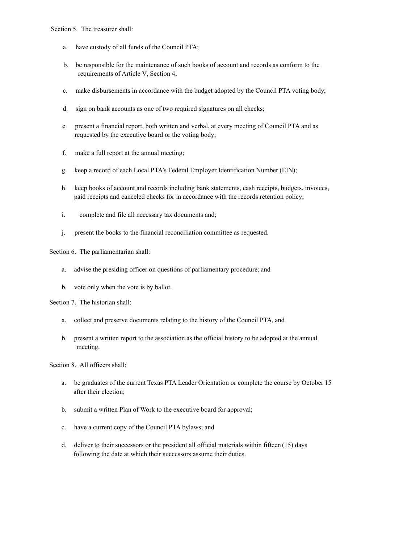Section 5. The treasurer shall:

- a. have custody of all funds of the Council PTA;
- b. be responsible for the maintenance of such books of account and records as conform to the requirements of Article V, Section 4;
- c. make disbursements in accordance with the budget adopted by the Council PTA voting body;
- d. sign on bank accounts as one of two required signatures on all checks;
- e. present a financial report, both written and verbal, at every meeting of Council PTA and as requested by the executive board or the voting body;
- f. make a full report at the annual meeting;
- g. keep a record of each Local PTA's Federal Employer Identification Number (EIN);
- h. keep books of account and records including bank statements, cash receipts, budgets, invoices, paid receipts and canceled checks for in accordance with the records retention policy;
- i. complete and file all necessary tax documents and;
- j. present the books to the financial reconciliation committee as requested.

Section 6. The parliamentarian shall:

- a. advise the presiding officer on questions of parliamentary procedure; and
- b. vote only when the vote is by ballot.

Section 7. The historian shall:

- a. collect and preserve documents relating to the history of the Council PTA, and
- b. present a written report to the association as the official history to be adopted at the annual meeting.

Section 8. All officers shall:

- a. be graduates of the current Texas PTA Leader Orientation or complete the course by October 15 after their election;
- b. submit a written Plan of Work to the executive board for approval;
- c. have a current copy of the Council PTA bylaws; and
- d. deliver to their successors or the president all official materials within fifteen (15) days following the date at which their successors assume their duties.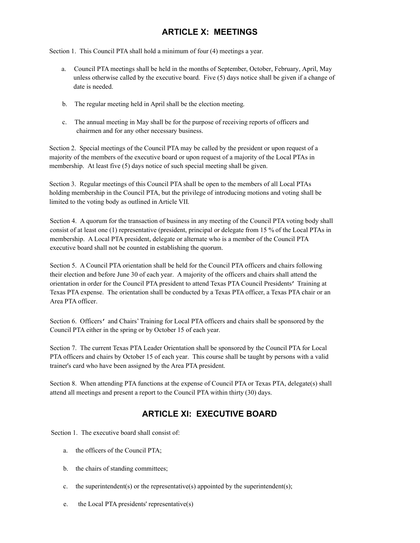## **ARTICLE X: MEETINGS**

Section 1. This Council PTA shall hold a minimum of four (4) meetings a year.

- a. Council PTA meetings shall be held in the months of September, October, February, April, May unless otherwise called by the executive board. Five (5) days notice shall be given if a change of date is needed.
- b. The regular meeting held in April shall be the election meeting.
- c. The annual meeting in May shall be for the purpose of receiving reports of officers and chairmen and for any other necessary business.

Section 2. Special meetings of the Council PTA may be called by the president or upon request of a majority of the members of the executive board or upon request of a majority of the Local PTAs in membership. At least five (5) days notice of such special meeting shall be given.

Section 3. Regular meetings of this Council PTA shall be open to the members of all Local PTAs holding membership in the Council PTA, but the privilege of introducing motions and voting shall be limited to the voting body as outlined in Article VII.

Section 4. A quorum for the transaction of business in any meeting of the Council PTA voting body shall consist of at least one (1) representative (president, principal or delegate from 15 % of the Local PTAs in membership. A Local PTA president, delegate or alternate who is a member of the Council PTA executive board shall not be counted in establishing the quorum.

Section 5. A Council PTA orientation shall be held for the Council PTA officers and chairs following their election and before June 30 of each year. A majority of the officers and chairs shall attend the orientation in order for the Council PTA president to attend Texas PTA Council Presidents' Training at Texas PTA expense. The orientation shall be conducted by a Texas PTA officer, a Texas PTA chair or an Area PTA officer.

Section 6. Officers' and Chairs' Training for Local PTA officers and chairs shall be sponsored by the Council PTA either in the spring or by October 15 of each year.

Section 7. The current Texas PTA Leader Orientation shall be sponsored by the Council PTA for Local PTA officers and chairs by October 15 of each year. This course shall be taught by persons with a valid trainer's card who have been assigned by the Area PTA president.

Section 8. When attending PTA functions at the expense of Council PTA or Texas PTA, delegate(s) shall attend all meetings and present a report to the Council PTA within thirty (30) days.

## **ARTICLE XI: EXECUTIVE BOARD**

Section 1. The executive board shall consist of:

- a. the officers of the Council PTA;
- b. the chairs of standing committees;
- c. the superintendent(s) or the representative(s) appointed by the superintendent(s);
- e. the Local PTA presidents' representative(s)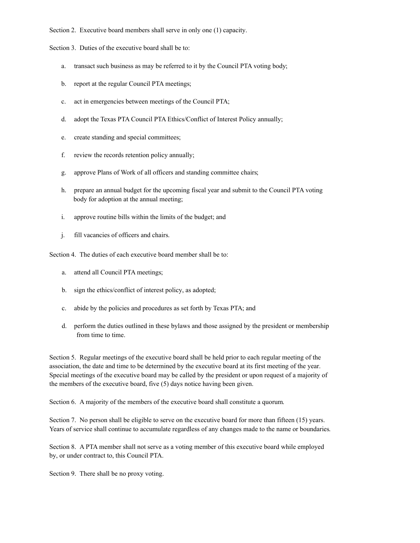Section 2. Executive board members shall serve in only one (1) capacity.

Section 3. Duties of the executive board shall be to:

- a. transact such business as may be referred to it by the Council PTA voting body;
- b. report at the regular Council PTA meetings;
- c. act in emergencies between meetings of the Council PTA;
- d. adopt the Texas PTA Council PTA Ethics/Conflict of Interest Policy annually;
- e. create standing and special committees;
- f. review the records retention policy annually;
- g. approve Plans of Work of all officers and standing committee chairs;
- h. prepare an annual budget for the upcoming fiscal year and submit to the Council PTA voting body for adoption at the annual meeting;
- i. approve routine bills within the limits of the budget; and
- j. fill vacancies of officers and chairs.

Section 4. The duties of each executive board member shall be to:

- a. attend all Council PTA meetings;
- b. sign the ethics/conflict of interest policy, as adopted;
- c. abide by the policies and procedures as set forth by Texas PTA; and
- d. perform the duties outlined in these bylaws and those assigned by the president or membership from time to time.

Section 5. Regular meetings of the executive board shall be held prior to each regular meeting of the association, the date and time to be determined by the executive board at its first meeting of the year. Special meetings of the executive board may be called by the president or upon request of a majority of the members of the executive board, five (5) days notice having been given.

Section 6.A majority of the members of the executive board shall constitute a quorum.

Section 7. No person shall be eligible to serve on the executive board for more than fifteen (15) years. Years of service shall continue to accumulate regardless of any changes made to the name or boundaries.

Section 8. A PTA member shall not serve as a voting member of this executive board while employed by, or under contract to, this Council PTA.

Section 9. There shall be no proxy voting.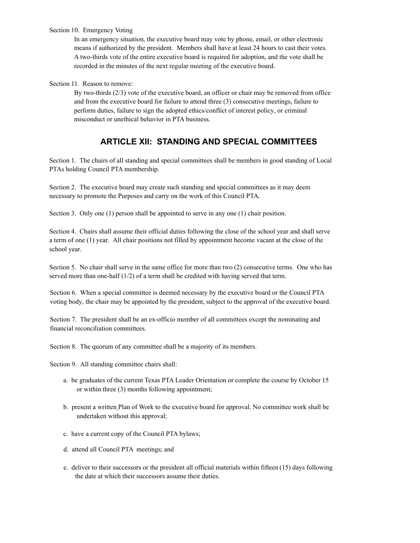#### Section 10. Emergency Voting

In an emergency situation, the executive board may vote by phone, email, or other electronic means if authorized by the president. Members shall have at least 24 hours to cast their votes. A two-thirds vote of the entire executive board is required for adoption, and the vote shall be recorded in the minutes of the next regular meeting of the executive board.

#### Section 11. Reason to remove:

By two-thirds (2/3) vote of the executive board, an officer or chair may be removed from office and from the executive board for failure to attend three (3) consecutive meetings, failure to perform duties, failure to sign the adopted ethics/conflict of interest policy, or criminal misconduct or unethical behavior in PTA business.

### **ARTICLE XII: STANDING AND SPECIAL COMMITTEES**

Section 1. The chairs of all standing and special committees shall be members in good standing of Local PTAs holding Council PTA membership.

Section 2. The executive board may create such standing and special committees as it may deem necessary to promote the Purposes and carry on the work of this Council PTA.

Section 3. Only one (1) person shall be appointed to serve in any one (1) chair position.

Section 4. Chairs shall assume their official duties following the close of the school year and shall serve a term of one (1) year. All chair positions not filled by appointment become vacant at the close of the school year.

Section 5. No chair shall serve in the same office for more than two (2) consecutive terms. One who has served more than one-half (1/2) of a term shall be credited with having served that term.

Section 6.When a special committee is deemed necessary by the executive board or the Council PTA voting body, the chair may be appointed by the president, subject to the approval of the executive board.

Section 7. The president shall be an ex-officio member of all committees except the nominating and financial reconciliation committees.

Section 8.The quorum of any committee shall be a majority of its members.

Section 9. All standing committee chairs shall:

- a. be graduates of the current Texas PTA Leader Orientation or complete the course by October 15 or within three (3) months following appointment;
- b. present a written Plan of Work to the executive board for approval. No committee work shall be undertaken without this approval;
- c. have a current copy of the Council PTA bylaws;
- d. attend all Council PTA meetings; and
- e. deliver to their successors or the president all official materials within fifteen (15) days following the date at which their successors assume their duties.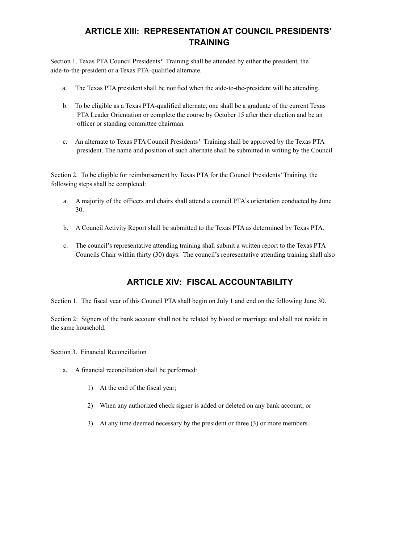## **ARTICLE XIII: REPRESENTATION AT COUNCIL PRESIDENTS' TRAINING**

Section 1. Texas PTA Council Presidents' Training shall be attended by either the president, the aide-to-the-president or a Texas PTA-qualified alternate.

- a. The Texas PTA president shall be notified when the aide-to-the-president will be attending.
- b. To be eligible as a Texas PTA-qualified alternate, one shall be a graduate of the current Texas PTA Leader Orientation or complete the course by October 15 after their election and be an officer or standing committee chairman.
- c. An alternate to Texas PTA Council Presidents' Training shall be approved by the Texas PTA president. The name and position of such alternate shall be submitted in writing by the Council

Section 2. To be eligible for reimbursement by Texas PTA for the Council Presidents' Training, the following steps shall be completed:

- a. A majority of the officers and chairs shall attend a council PTA's orientation conducted by June 30.
- b. A Council Activity Report shall be submitted to the Texas PTA as determined by Texas PTA.
- c. The council's representative attending training shall submit a written report to the Texas PTA Councils Chair within thirty (30) days. The council's representative attending training shall also

## **ARTICLE XIV: FISCAL ACCOUNTABILITY**

Section 1. The fiscal year of this Council PTA shall begin on July 1 and end on the following June 30.

Section 2: Signers of the bank account shall not be related by blood or marriage and shall not reside in the same household.

Section 3. Financial Reconciliation

- a. A financial reconciliation shall be performed:
	- 1) At the end of the fiscal year;
	- 2) When any authorized check signer is added or deleted on any bank account; or
	- 3) At any time deemed necessary by the president or three (3) or more members.